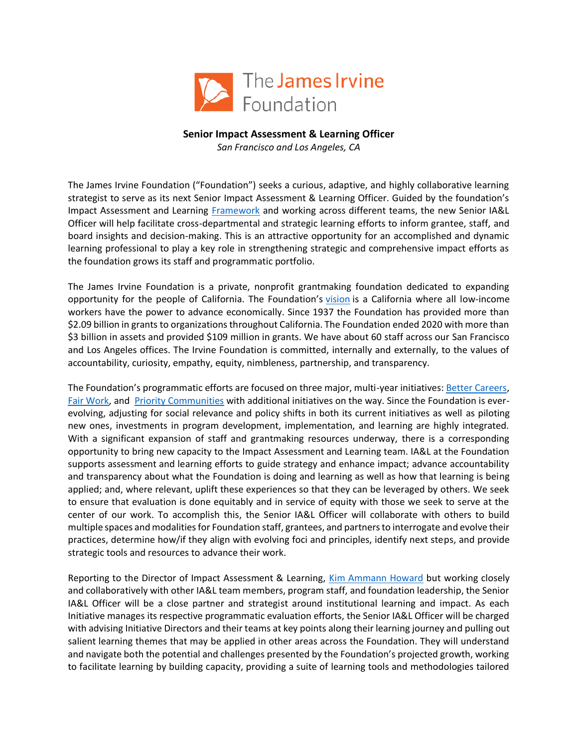

## **Senior Impact Assessment & Learning Officer**

*San Francisco and Los Angeles, CA*

The James Irvine Foundation ("Foundation") seeks a curious, adaptive, and highly collaborative learning strategist to serve as its next Senior Impact Assessment & Learning Officer. Guided by the foundation's Impact Assessment and Learning [Framework](https://www.irvine.org/wp-content/uploads/Updated-IAL-Framework_Interim-version.pdf) and working across different teams, the new Senior IA&L Officer will help facilitate cross-departmental and strategic learning efforts to inform grantee, staff, and board insights and decision-making. This is an attractive opportunity for an accomplished and dynamic learning professional to play a key role in strengthening strategic and comprehensive impact efforts as the foundation grows its staff and programmatic portfolio.

The James Irvine Foundation is a private, nonprofit grantmaking foundation dedicated to expanding opportunity for the people of California. The Foundation's [vision](https://www.irvine.org/our-focus/) is a California where all low-income workers have the power to advance economically. Since 1937 the Foundation has provided more than \$2.09 billion in grants to organizations throughout California. The Foundation ended 2020 with more than \$3 billion in assets and provided \$109 million in grants. We have about 60 staff across our San Francisco and Los Angeles offices. The Irvine Foundation is committed, internally and externally, to the values of accountability, curiosity, empathy, equity, nimbleness, partnership, and transparency.

The Foundation's programmatic efforts are focused on three major, multi-year initiatives[: Better Careers,](https://www.irvine.org/our-focus/better-careers/) [Fair Work,](https://www.irvine.org/our-focus/fair-work/) and [Priority Communities](https://www.irvine.org/our-focus/priority-communities/) with additional initiatives on the way. Since the Foundation is everevolving, adjusting for social relevance and policy shifts in both its current initiatives as well as piloting new ones, investments in program development, implementation, and learning are highly integrated. With a significant expansion of staff and grantmaking resources underway, there is a corresponding opportunity to bring new capacity to the Impact Assessment and Learning team. IA&L at the Foundation supports assessment and learning efforts to guide strategy and enhance impact; advance accountability and transparency about what the Foundation is doing and learning as well as how that learning is being applied; and, where relevant, uplift these experiences so that they can be leveraged by others. We seek to ensure that evaluation is done equitably and in service of equity with those we seek to serve at the center of our work. To accomplish this, the Senior IA&L Officer will collaborate with others to build multiple spaces and modalities for Foundation staff, grantees, and partners to interrogate and evolve their practices, determine how/if they align with evolving foci and principles, identify next steps, and provide strategic tools and resources to advance their work.

Reporting to the Director of Impact Assessment & Learning, [Kim Ammann Howard](https://www.irvine.org/person/kim-ammann-howard/) but working closely and collaboratively with other IA&L team members, program staff, and foundation leadership, the Senior IA&L Officer will be a close partner and strategist around institutional learning and impact. As each Initiative manages its respective programmatic evaluation efforts, the Senior IA&L Officer will be charged with advising Initiative Directors and their teams at key points along their learning journey and pulling out salient learning themes that may be applied in other areas across the Foundation. They will understand and navigate both the potential and challenges presented by the Foundation's projected growth, working to facilitate learning by building capacity, providing a suite of learning tools and methodologies tailored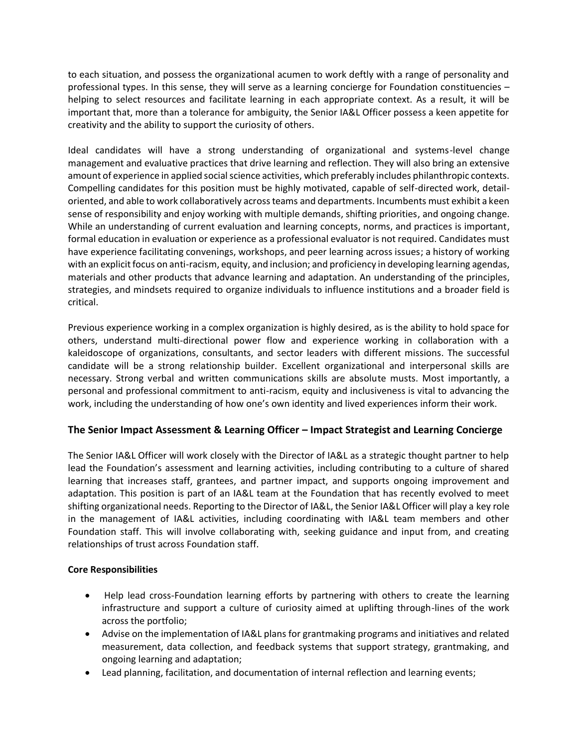to each situation, and possess the organizational acumen to work deftly with a range of personality and professional types. In this sense, they will serve as a learning concierge for Foundation constituencies – helping to select resources and facilitate learning in each appropriate context. As a result, it will be important that, more than a tolerance for ambiguity, the Senior IA&L Officer possess a keen appetite for creativity and the ability to support the curiosity of others.

Ideal candidates will have a strong understanding of organizational and systems-level change management and evaluative practices that drive learning and reflection. They will also bring an extensive amount of experience in applied social science activities, which preferably includes philanthropic contexts. Compelling candidates for this position must be highly motivated, capable of self-directed work, detailoriented, and able to work collaboratively across teams and departments. Incumbents must exhibit a keen sense of responsibility and enjoy working with multiple demands, shifting priorities, and ongoing change. While an understanding of current evaluation and learning concepts, norms, and practices is important, formal education in evaluation or experience as a professional evaluator is not required. Candidates must have experience facilitating convenings, workshops, and peer learning across issues; a history of working with an explicit focus on anti-racism, equity, and inclusion; and proficiency in developing learning agendas, materials and other products that advance learning and adaptation. An understanding of the principles, strategies, and mindsets required to organize individuals to influence institutions and a broader field is critical.

Previous experience working in a complex organization is highly desired, as is the ability to hold space for others, understand multi-directional power flow and experience working in collaboration with a kaleidoscope of organizations, consultants, and sector leaders with different missions. The successful candidate will be a strong relationship builder. Excellent organizational and interpersonal skills are necessary. Strong verbal and written communications skills are absolute musts. Most importantly, a personal and professional commitment to anti-racism, equity and inclusiveness is vital to advancing the work, including the understanding of how one's own identity and lived experiences inform their work.

# **The Senior Impact Assessment & Learning Officer – Impact Strategist and Learning Concierge**

The Senior IA&L Officer will work closely with the Director of IA&L as a strategic thought partner to help lead the Foundation's assessment and learning activities, including contributing to a culture of shared learning that increases staff, grantees, and partner impact, and supports ongoing improvement and adaptation. This position is part of an IA&L team at the Foundation that has recently evolved to meet shifting organizational needs. Reporting to the Director of IA&L, the Senior IA&L Officer will play a key role in the management of IA&L activities, including coordinating with IA&L team members and other Foundation staff. This will involve collaborating with, seeking guidance and input from, and creating relationships of trust across Foundation staff.

# **Core Responsibilities**

- Help lead cross-Foundation learning efforts by partnering with others to create the learning infrastructure and support a culture of curiosity aimed at uplifting through-lines of the work across the portfolio;
- Advise on the implementation of IA&L plans for grantmaking programs and initiatives and related measurement, data collection, and feedback systems that support strategy, grantmaking, and ongoing learning and adaptation;
- Lead planning, facilitation, and documentation of internal reflection and learning events;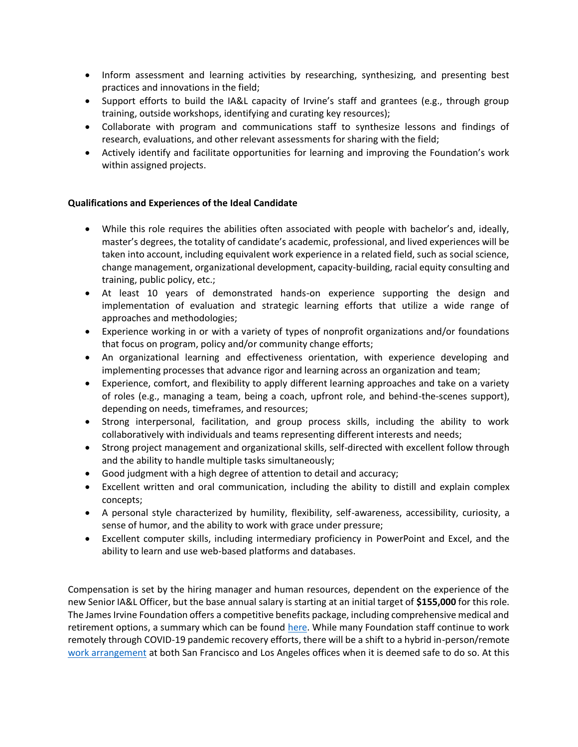- Inform assessment and learning activities by researching, synthesizing, and presenting best practices and innovations in the field;
- Support efforts to build the IA&L capacity of Irvine's staff and grantees (e.g., through group training, outside workshops, identifying and curating key resources);
- Collaborate with program and communications staff to synthesize lessons and findings of research, evaluations, and other relevant assessments for sharing with the field;
- Actively identify and facilitate opportunities for learning and improving the Foundation's work within assigned projects.

## **Qualifications and Experiences of the Ideal Candidate**

- While this role requires the abilities often associated with people with bachelor's and, ideally, master's degrees, the totality of candidate's academic, professional, and lived experiences will be taken into account, including equivalent work experience in a related field, such as social science, change management, organizational development, capacity-building, racial equity consulting and training, public policy, etc.;
- At least 10 years of demonstrated hands-on experience supporting the design and implementation of evaluation and strategic learning efforts that utilize a wide range of approaches and methodologies;
- Experience working in or with a variety of types of nonprofit organizations and/or foundations that focus on program, policy and/or community change efforts;
- An organizational learning and effectiveness orientation, with experience developing and implementing processes that advance rigor and learning across an organization and team;
- Experience, comfort, and flexibility to apply different learning approaches and take on a variety of roles (e.g., managing a team, being a coach, upfront role, and behind-the-scenes support), depending on needs, timeframes, and resources;
- Strong interpersonal, facilitation, and group process skills, including the ability to work collaboratively with individuals and teams representing different interests and needs;
- Strong project management and organizational skills, self-directed with excellent follow through and the ability to handle multiple tasks simultaneously;
- Good judgment with a high degree of attention to detail and accuracy;
- Excellent written and oral communication, including the ability to distill and explain complex concepts;
- A personal style characterized by humility, flexibility, self-awareness, accessibility, curiosity, a sense of humor, and the ability to work with grace under pressure;
- Excellent computer skills, including intermediary proficiency in PowerPoint and Excel, and the ability to learn and use web-based platforms and databases.

Compensation is set by the hiring manager and human resources, dependent on the experience of the new Senior IA&L Officer, but the base annual salary is starting at an initial target of **\$155,000** for this role. The James Irvine Foundation offers a competitive benefits package, including comprehensive medical and retirement options, a summary which can be found [here.](https://irvine.app.box.com/s/ffor8lh1kdw9p1iks0tejoalh13nrc4k) While many Foundation staff continue to work remotely through COVID-19 pandemic recovery efforts, there will be a shift to a hybrid in-person/remote [work arrangement](https://irvine.app.box.com/s/vh8nyj8ss1kn45h82rtdq3hgiuran7cm) at both San Francisco and Los Angeles offices when it is deemed safe to do so. At this